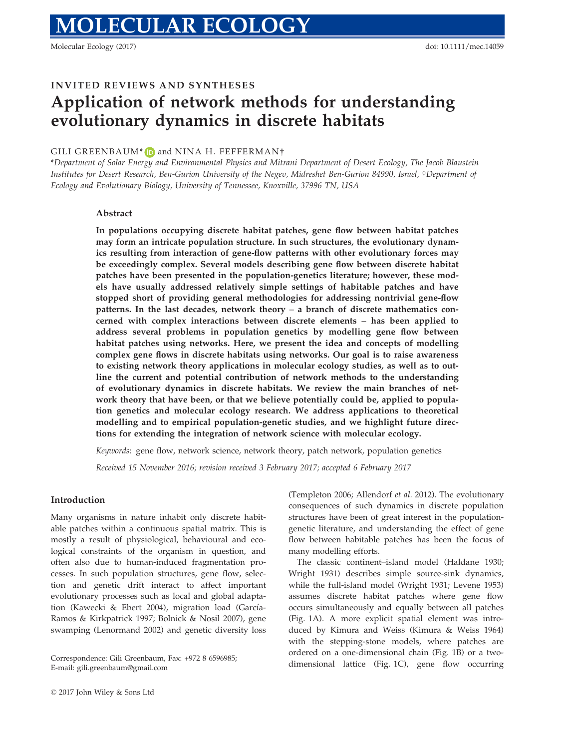Molecular Ecology (2017) doi: 10.1111/mec.14059

# INVITED REVIEWS AND SYNTHESES

# Application of network methods for understanding evolutionary dynamics in discrete habitats

## GILI GREENBAUM\*  $\Box$  and NINA H. FEFFERMAN†

\*Department of Solar Energy and Environmental Physics and Mitrani Department of Desert Ecology, The Jacob Blaustein Institutes for Desert Research, Ben-Gurion University of the Negev, Midreshet Ben-Gurion 84990, Israel, †Department of Ecology and Evolutionary Biology, University of Tennessee, Knoxville, 37996 TN, USA

### Abstract

In populations occupying discrete habitat patches, gene flow between habitat patches may form an intricate population structure. In such structures, the evolutionary dynamics resulting from interaction of gene-flow patterns with other evolutionary forces may be exceedingly complex. Several models describing gene flow between discrete habitat patches have been presented in the population-genetics literature; however, these models have usually addressed relatively simple settings of habitable patches and have stopped short of providing general methodologies for addressing nontrivial gene-flow patterns. In the last decades, network theory – a branch of discrete mathematics concerned with complex interactions between discrete elements – has been applied to address several problems in population genetics by modelling gene flow between habitat patches using networks. Here, we present the idea and concepts of modelling complex gene flows in discrete habitats using networks. Our goal is to raise awareness to existing network theory applications in molecular ecology studies, as well as to outline the current and potential contribution of network methods to the understanding of evolutionary dynamics in discrete habitats. We review the main branches of network theory that have been, or that we believe potentially could be, applied to population genetics and molecular ecology research. We address applications to theoretical modelling and to empirical population-genetic studies, and we highlight future directions for extending the integration of network science with molecular ecology.

Keywords: gene flow, network science, network theory, patch network, population genetics

Received 15 November 2016; revision received 3 February 2017; accepted 6 February 2017

#### Introduction

Many organisms in nature inhabit only discrete habitable patches within a continuous spatial matrix. This is mostly a result of physiological, behavioural and ecological constraints of the organism in question, and often also due to human-induced fragmentation processes. In such population structures, gene flow, selection and genetic drift interact to affect important evolutionary processes such as local and global adaptation (Kawecki & Ebert 2004), migration load (García-Ramos & Kirkpatrick 1997; Bolnick & Nosil 2007), gene swamping (Lenormand 2002) and genetic diversity loss

E-mail: gili.greenbaum@gmail.com

(Templeton 2006; Allendorf et al. 2012). The evolutionary consequences of such dynamics in discrete population structures have been of great interest in the populationgenetic literature, and understanding the effect of gene flow between habitable patches has been the focus of many modelling efforts.

The classic continent–island model (Haldane 1930; Wright 1931) describes simple source-sink dynamics, while the full-island model (Wright 1931; Levene 1953) assumes discrete habitat patches where gene flow occurs simultaneously and equally between all patches (Fig. 1A). A more explicit spatial element was introduced by Kimura and Weiss (Kimura & Weiss 1964) with the stepping-stone models, where patches are ordered on a one-dimensional chain (Fig. 1B) or a twodimensional lattice (Fig. 1C), gene flow occurring Correspondence: Gili Greenbaum, Fax: +972 8 6596985;<br>
E-mail: gili greenbaum@gmail.com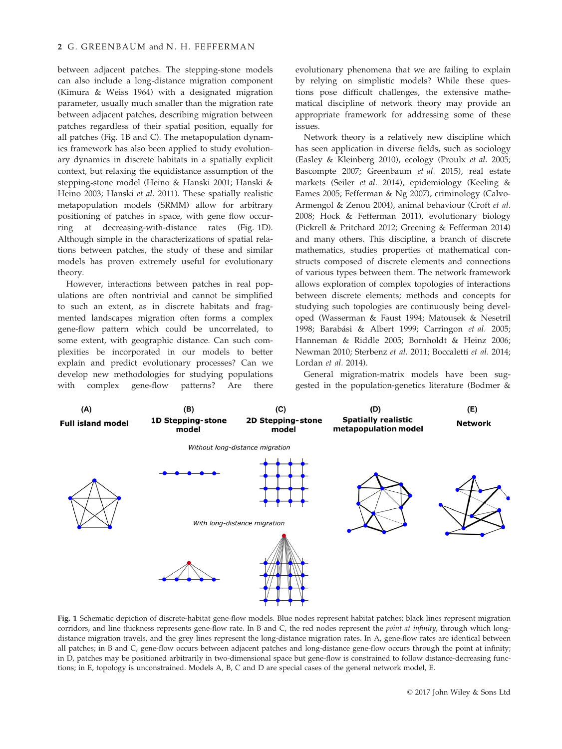## 2 G. GREENBAUM and N. H. FEFFERMAN

between adjacent patches. The stepping-stone models can also include a long-distance migration component (Kimura & Weiss 1964) with a designated migration parameter, usually much smaller than the migration rate between adjacent patches, describing migration between patches regardless of their spatial position, equally for all patches (Fig. 1B and C). The metapopulation dynamics framework has also been applied to study evolutionary dynamics in discrete habitats in a spatially explicit context, but relaxing the equidistance assumption of the stepping-stone model (Heino & Hanski 2001; Hanski & Heino 2003; Hanski et al. 2011). These spatially realistic metapopulation models (SRMM) allow for arbitrary positioning of patches in space, with gene flow occurring at decreasing-with-distance rates (Fig. 1D). Although simple in the characterizations of spatial relations between patches, the study of these and similar models has proven extremely useful for evolutionary theory.

However, interactions between patches in real populations are often nontrivial and cannot be simplified to such an extent, as in discrete habitats and fragmented landscapes migration often forms a complex gene-flow pattern which could be uncorrelated, to some extent, with geographic distance. Can such complexities be incorporated in our models to better explain and predict evolutionary processes? Can we develop new methodologies for studying populations with complex gene-flow patterns? Are there

evolutionary phenomena that we are failing to explain by relying on simplistic models? While these questions pose difficult challenges, the extensive mathematical discipline of network theory may provide an appropriate framework for addressing some of these issues.

Network theory is a relatively new discipline which has seen application in diverse fields, such as sociology (Easley & Kleinberg 2010), ecology (Proulx et al. 2005; Bascompte 2007; Greenbaum et al. 2015), real estate markets (Seiler et al. 2014), epidemiology (Keeling & Eames 2005; Fefferman & Ng 2007), criminology (Calvo-Armengol & Zenou 2004), animal behaviour (Croft et al. 2008; Hock & Fefferman 2011), evolutionary biology (Pickrell & Pritchard 2012; Greening & Fefferman 2014) and many others. This discipline, a branch of discrete mathematics, studies properties of mathematical constructs composed of discrete elements and connections of various types between them. The network framework allows exploration of complex topologies of interactions between discrete elements; methods and concepts for studying such topologies are continuously being developed (Wasserman & Faust 1994; Matousek & Nesetril 1998; Barabási & Albert 1999; Carringon et al. 2005; Hanneman & Riddle 2005; Bornholdt & Heinz 2006; Newman 2010; Sterbenz et al. 2011; Boccaletti et al. 2014; Lordan et al. 2014).

General migration-matrix models have been suggested in the population-genetics literature (Bodmer &



Fig. 1 Schematic depiction of discrete-habitat gene-flow models. Blue nodes represent habitat patches; black lines represent migration corridors, and line thickness represents gene-flow rate. In B and C, the red nodes represent the *point at infinity*, through which longdistance migration travels, and the grey lines represent the long-distance migration rates. In A, gene-flow rates are identical between all patches; in B and C, gene-flow occurs between adjacent patches and long-distance gene-flow occurs through the point at infinity; in D, patches may be positioned arbitrarily in two-dimensional space but gene-flow is constrained to follow distance-decreasing functions; in E, topology is unconstrained. Models A, B, C and D are special cases of the general network model, E.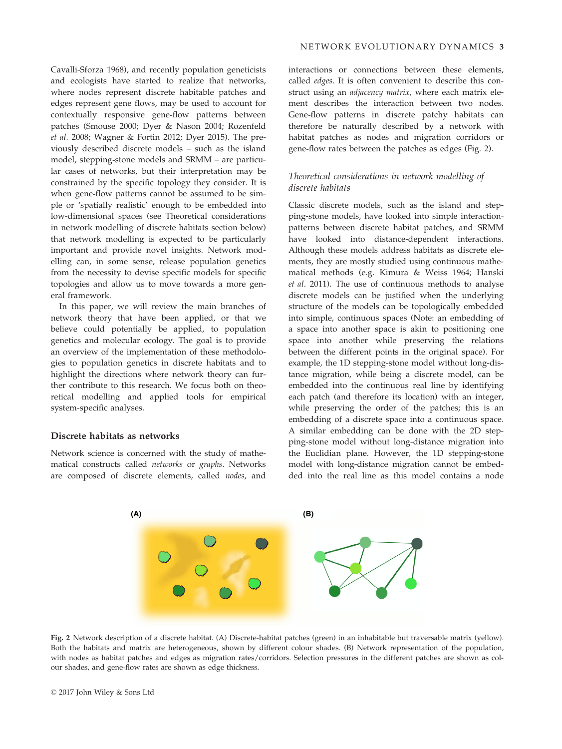Cavalli-Sforza 1968), and recently population geneticists and ecologists have started to realize that networks, where nodes represent discrete habitable patches and edges represent gene flows, may be used to account for contextually responsive gene-flow patterns between patches (Smouse 2000; Dyer & Nason 2004; Rozenfeld et al. 2008; Wagner & Fortin 2012; Dyer 2015). The previously described discrete models – such as the island model, stepping-stone models and SRMM – are particular cases of networks, but their interpretation may be constrained by the specific topology they consider. It is when gene-flow patterns cannot be assumed to be simple or 'spatially realistic' enough to be embedded into low-dimensional spaces (see Theoretical considerations in network modelling of discrete habitats section below) that network modelling is expected to be particularly important and provide novel insights. Network modelling can, in some sense, release population genetics from the necessity to devise specific models for specific topologies and allow us to move towards a more general framework.

In this paper, we will review the main branches of network theory that have been applied, or that we believe could potentially be applied, to population genetics and molecular ecology. The goal is to provide an overview of the implementation of these methodologies to population genetics in discrete habitats and to highlight the directions where network theory can further contribute to this research. We focus both on theoretical modelling and applied tools for empirical system-specific analyses.

#### Discrete habitats as networks

Network science is concerned with the study of mathematical constructs called networks or graphs. Networks are composed of discrete elements, called nodes, and

interactions or connections between these elements, called edges. It is often convenient to describe this construct using an adjacency matrix, where each matrix element describes the interaction between two nodes. Gene-flow patterns in discrete patchy habitats can therefore be naturally described by a network with habitat patches as nodes and migration corridors or gene-flow rates between the patches as edges (Fig. 2).

## Theoretical considerations in network modelling of discrete habitats

Classic discrete models, such as the island and stepping-stone models, have looked into simple interactionpatterns between discrete habitat patches, and SRMM have looked into distance-dependent interactions. Although these models address habitats as discrete elements, they are mostly studied using continuous mathematical methods (e.g. Kimura & Weiss 1964; Hanski et al. 2011). The use of continuous methods to analyse discrete models can be justified when the underlying structure of the models can be topologically embedded into simple, continuous spaces (Note: an embedding of a space into another space is akin to positioning one space into another while preserving the relations between the different points in the original space). For example, the 1D stepping-stone model without long-distance migration, while being a discrete model, can be embedded into the continuous real line by identifying each patch (and therefore its location) with an integer, while preserving the order of the patches; this is an embedding of a discrete space into a continuous space. A similar embedding can be done with the 2D stepping-stone model without long-distance migration into the Euclidian plane. However, the 1D stepping-stone model with long-distance migration cannot be embedded into the real line as this model contains a node



Fig. 2 Network description of a discrete habitat. (A) Discrete-habitat patches (green) in an inhabitable but traversable matrix (yellow). Both the habitats and matrix are heterogeneous, shown by different colour shades. (B) Network representation of the population, with nodes as habitat patches and edges as migration rates/corridors. Selection pressures in the different patches are shown as colour shades, and gene-flow rates are shown as edge thickness.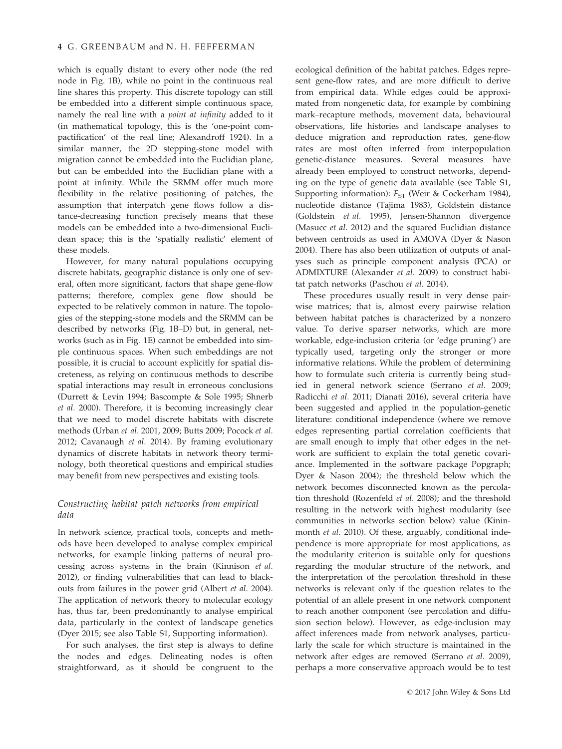which is equally distant to every other node (the red node in Fig. 1B), while no point in the continuous real line shares this property. This discrete topology can still be embedded into a different simple continuous space, namely the real line with a point at infinity added to it (in mathematical topology, this is the 'one-point compactification' of the real line; Alexandroff 1924). In a similar manner, the 2D stepping-stone model with migration cannot be embedded into the Euclidian plane, but can be embedded into the Euclidian plane with a point at infinity. While the SRMM offer much more flexibility in the relative positioning of patches, the assumption that interpatch gene flows follow a distance-decreasing function precisely means that these models can be embedded into a two-dimensional Euclidean space; this is the 'spatially realistic' element of these models.

However, for many natural populations occupying discrete habitats, geographic distance is only one of several, often more significant, factors that shape gene-flow patterns; therefore, complex gene flow should be expected to be relatively common in nature. The topologies of the stepping-stone models and the SRMM can be described by networks (Fig. 1B–D) but, in general, networks (such as in Fig. 1E) cannot be embedded into simple continuous spaces. When such embeddings are not possible, it is crucial to account explicitly for spatial discreteness, as relying on continuous methods to describe spatial interactions may result in erroneous conclusions (Durrett & Levin 1994; Bascompte & Sole 1995; Shnerb et al. 2000). Therefore, it is becoming increasingly clear that we need to model discrete habitats with discrete methods (Urban et al. 2001, 2009; Butts 2009; Pocock et al. 2012; Cavanaugh et al. 2014). By framing evolutionary dynamics of discrete habitats in network theory terminology, both theoretical questions and empirical studies may benefit from new perspectives and existing tools.

# Constructing habitat patch networks from empirical data

In network science, practical tools, concepts and methods have been developed to analyse complex empirical networks, for example linking patterns of neural processing across systems in the brain (Kinnison et al. 2012), or finding vulnerabilities that can lead to blackouts from failures in the power grid (Albert et al. 2004). The application of network theory to molecular ecology has, thus far, been predominantly to analyse empirical data, particularly in the context of landscape genetics (Dyer 2015; see also Table S1, Supporting information).

For such analyses, the first step is always to define the nodes and edges. Delineating nodes is often straightforward, as it should be congruent to the

ecological definition of the habitat patches. Edges represent gene-flow rates, and are more difficult to derive from empirical data. While edges could be approximated from nongenetic data, for example by combining mark–recapture methods, movement data, behavioural observations, life histories and landscape analyses to deduce migration and reproduction rates, gene-flow rates are most often inferred from interpopulation genetic-distance measures. Several measures have already been employed to construct networks, depending on the type of genetic data available (see Table S1, Supporting information):  $F_{ST}$  (Weir & Cockerham 1984), nucleotide distance (Tajima 1983), Goldstein distance (Goldstein et al. 1995), Jensen-Shannon divergence (Masucc et al. 2012) and the squared Euclidian distance between centroids as used in AMOVA (Dyer & Nason 2004). There has also been utilization of outputs of analyses such as principle component analysis (PCA) or ADMIXTURE (Alexander et al. 2009) to construct habitat patch networks (Paschou et al. 2014).

These procedures usually result in very dense pairwise matrices; that is, almost every pairwise relation between habitat patches is characterized by a nonzero value. To derive sparser networks, which are more workable, edge-inclusion criteria (or 'edge pruning') are typically used, targeting only the stronger or more informative relations. While the problem of determining how to formulate such criteria is currently being studied in general network science (Serrano et al. 2009; Radicchi et al. 2011; Dianati 2016), several criteria have been suggested and applied in the population-genetic literature: conditional independence (where we remove edges representing partial correlation coefficients that are small enough to imply that other edges in the network are sufficient to explain the total genetic covariance. Implemented in the software package Popgraph; Dyer & Nason 2004); the threshold below which the network becomes disconnected known as the percolation threshold (Rozenfeld et al. 2008); and the threshold resulting in the network with highest modularity (see communities in networks section below) value (Kininmonth *et al.* 2010). Of these, arguably, conditional independence is more appropriate for most applications, as the modularity criterion is suitable only for questions regarding the modular structure of the network, and the interpretation of the percolation threshold in these networks is relevant only if the question relates to the potential of an allele present in one network component to reach another component (see percolation and diffusion section below). However, as edge-inclusion may affect inferences made from network analyses, particularly the scale for which structure is maintained in the network after edges are removed (Serrano et al. 2009), perhaps a more conservative approach would be to test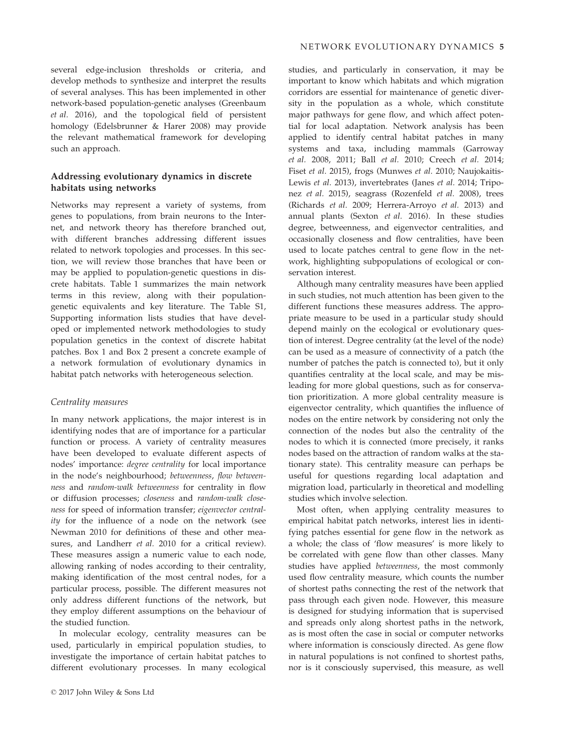several edge-inclusion thresholds or criteria, and develop methods to synthesize and interpret the results of several analyses. This has been implemented in other network-based population-genetic analyses (Greenbaum et al. 2016), and the topological field of persistent homology (Edelsbrunner & Harer 2008) may provide the relevant mathematical framework for developing such an approach.

## Addressing evolutionary dynamics in discrete habitats using networks

Networks may represent a variety of systems, from genes to populations, from brain neurons to the Internet, and network theory has therefore branched out, with different branches addressing different issues related to network topologies and processes. In this section, we will review those branches that have been or may be applied to population-genetic questions in discrete habitats. Table 1 summarizes the main network terms in this review, along with their populationgenetic equivalents and key literature. The Table S1, Supporting information lists studies that have developed or implemented network methodologies to study population genetics in the context of discrete habitat patches. Box 1 and Box 2 present a concrete example of a network formulation of evolutionary dynamics in habitat patch networks with heterogeneous selection.

#### Centrality measures

In many network applications, the major interest is in identifying nodes that are of importance for a particular function or process. A variety of centrality measures have been developed to evaluate different aspects of nodes' importance: degree centrality for local importance in the node's neighbourhood; betweenness, flow betweenness and random-walk betweenness for centrality in flow or diffusion processes; closeness and random-walk closeness for speed of information transfer; eigenvector centrality for the influence of a node on the network (see Newman 2010 for definitions of these and other measures, and Landherr *et al.* 2010 for a critical review). These measures assign a numeric value to each node, allowing ranking of nodes according to their centrality, making identification of the most central nodes, for a particular process, possible. The different measures not only address different functions of the network, but they employ different assumptions on the behaviour of the studied function.

In molecular ecology, centrality measures can be used, particularly in empirical population studies, to investigate the importance of certain habitat patches to different evolutionary processes. In many ecological

studies, and particularly in conservation, it may be important to know which habitats and which migration corridors are essential for maintenance of genetic diversity in the population as a whole, which constitute major pathways for gene flow, and which affect potential for local adaptation. Network analysis has been applied to identify central habitat patches in many systems and taxa, including mammals (Garroway et al. 2008, 2011; Ball et al. 2010; Creech et al. 2014; Fiset et al. 2015), frogs (Munwes et al. 2010; Naujokaitis-Lewis et al. 2013), invertebrates (Janes et al. 2014; Triponez et al. 2015), seagrass (Rozenfeld et al. 2008), trees (Richards et al. 2009; Herrera-Arroyo et al. 2013) and annual plants (Sexton et al. 2016). In these studies degree, betweenness, and eigenvector centralities, and occasionally closeness and flow centralities, have been used to locate patches central to gene flow in the network, highlighting subpopulations of ecological or conservation interest.

Although many centrality measures have been applied in such studies, not much attention has been given to the different functions these measures address. The appropriate measure to be used in a particular study should depend mainly on the ecological or evolutionary question of interest. Degree centrality (at the level of the node) can be used as a measure of connectivity of a patch (the number of patches the patch is connected to), but it only quantifies centrality at the local scale, and may be misleading for more global questions, such as for conservation prioritization. A more global centrality measure is eigenvector centrality, which quantifies the influence of nodes on the entire network by considering not only the connection of the nodes but also the centrality of the nodes to which it is connected (more precisely, it ranks nodes based on the attraction of random walks at the stationary state). This centrality measure can perhaps be useful for questions regarding local adaptation and migration load, particularly in theoretical and modelling studies which involve selection.

Most often, when applying centrality measures to empirical habitat patch networks, interest lies in identifying patches essential for gene flow in the network as a whole; the class of 'flow measures' is more likely to be correlated with gene flow than other classes. Many studies have applied betweenness, the most commonly used flow centrality measure, which counts the number of shortest paths connecting the rest of the network that pass through each given node. However, this measure is designed for studying information that is supervised and spreads only along shortest paths in the network, as is most often the case in social or computer networks where information is consciously directed. As gene flow in natural populations is not confined to shortest paths, nor is it consciously supervised, this measure, as well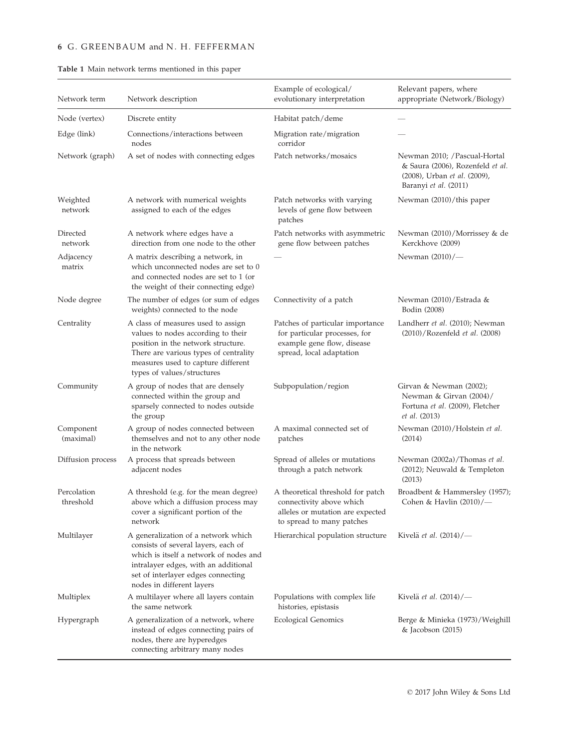# 6 G. GREENBAUM and N. H. FEFFERMAN

| Network term             | Network description                                                                                                                                                                                                             | Example of ecological/<br>evolutionary interpretation                                                                          | Relevant papers, where<br>appropriate (Network/Biology)                                                                   |
|--------------------------|---------------------------------------------------------------------------------------------------------------------------------------------------------------------------------------------------------------------------------|--------------------------------------------------------------------------------------------------------------------------------|---------------------------------------------------------------------------------------------------------------------------|
| Node (vertex)            | Discrete entity                                                                                                                                                                                                                 | Habitat patch/deme                                                                                                             |                                                                                                                           |
| Edge (link)              | Connections/interactions between<br>nodes                                                                                                                                                                                       | Migration rate/migration<br>corridor                                                                                           |                                                                                                                           |
| Network (graph)          | A set of nodes with connecting edges                                                                                                                                                                                            | Patch networks/mosaics                                                                                                         | Newman 2010; /Pascual-Hortal<br>& Saura (2006), Rozenfeld et al.<br>(2008), Urban et al. (2009),<br>Baranyi et al. (2011) |
| Weighted<br>network      | A network with numerical weights<br>assigned to each of the edges                                                                                                                                                               | Patch networks with varying<br>levels of gene flow between<br>patches                                                          | Newman (2010)/this paper                                                                                                  |
| Directed<br>network      | A network where edges have a<br>direction from one node to the other                                                                                                                                                            | Patch networks with asymmetric<br>gene flow between patches                                                                    | Newman (2010)/Morrissey & de<br>Kerckhove (2009)                                                                          |
| Adjacency<br>matrix      | A matrix describing a network, in<br>which unconnected nodes are set to 0<br>and connected nodes are set to 1 (or<br>the weight of their connecting edge)                                                                       |                                                                                                                                | Newman $(2010)/$                                                                                                          |
| Node degree              | The number of edges (or sum of edges<br>weights) connected to the node                                                                                                                                                          | Connectivity of a patch                                                                                                        | Newman (2010)/Estrada &<br>Bodin (2008)                                                                                   |
| Centrality               | A class of measures used to assign<br>values to nodes according to their<br>position in the network structure.<br>There are various types of centrality<br>measures used to capture different<br>types of values/structures     | Patches of particular importance<br>for particular processes, for<br>example gene flow, disease<br>spread, local adaptation    | Landherr et al. (2010); Newman<br>(2010)/Rozenfeld et al. (2008)                                                          |
| Community                | A group of nodes that are densely<br>connected within the group and<br>sparsely connected to nodes outside<br>the group                                                                                                         | Subpopulation/region                                                                                                           | Girvan & Newman (2002);<br>Newman & Girvan (2004)/<br>Fortuna et al. (2009), Fletcher<br><i>et al.</i> (2013)             |
| Component<br>(maximal)   | A group of nodes connected between<br>themselves and not to any other node<br>in the network                                                                                                                                    | A maximal connected set of<br>patches                                                                                          | Newman (2010)/Holstein et al.<br>(2014)                                                                                   |
| Diffusion process        | A process that spreads between<br>adjacent nodes                                                                                                                                                                                | Spread of alleles or mutations<br>through a patch network                                                                      | Newman (2002a)/Thomas et al.<br>(2012); Neuwald & Templeton<br>(2013)                                                     |
| Percolation<br>threshold | A threshold (e.g. for the mean degree)<br>above which a diffusion process may<br>cover a significant portion of the<br>network                                                                                                  | A theoretical threshold for patch<br>connectivity above which<br>alleles or mutation are expected<br>to spread to many patches | Broadbent & Hammersley (1957);<br>Cohen & Havlin (2010)/-                                                                 |
| Multilayer               | A generalization of a network which<br>consists of several layers, each of<br>which is itself a network of nodes and<br>intralayer edges, with an additional<br>set of interlayer edges connecting<br>nodes in different layers | Hierarchical population structure                                                                                              | Kivelä et al. $(2014)/-$                                                                                                  |
| Multiplex                | A multilayer where all layers contain<br>the same network                                                                                                                                                                       | Populations with complex life<br>histories, epistasis                                                                          | Kivelä et al. (2014)/-                                                                                                    |
| Hypergraph               | A generalization of a network, where<br>instead of edges connecting pairs of<br>nodes, there are hyperedges<br>connecting arbitrary many nodes                                                                                  | <b>Ecological Genomics</b>                                                                                                     | Berge & Minieka (1973)/Weighill<br>& Jacobson (2015)                                                                      |

Table 1 Main network terms mentioned in this paper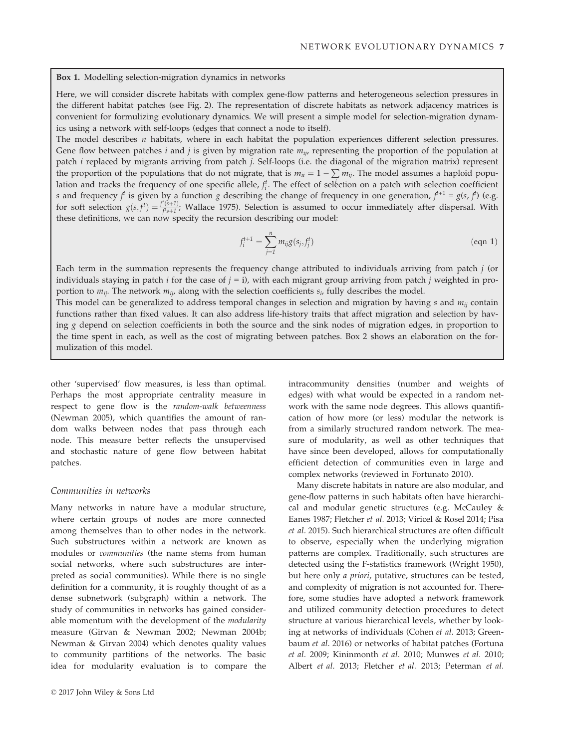Box 1. Modelling selection-migration dynamics in networks

Here, we will consider discrete habitats with complex gene-flow patterns and heterogeneous selection pressures in the different habitat patches (see Fig. 2). The representation of discrete habitats as network adjacency matrices is convenient for formulizing evolutionary dynamics. We will present a simple model for selection-migration dynamics using a network with self-loops (edges that connect a node to itself).

The model describes  $n$  habitats, where in each habitat the population experiences different selection pressures. Gene flow between patches i and j is given by migration rate  $m_{ii}$ , representing the proportion of the population at patch i replaced by migrants arriving from patch j. Self-loops (i.e. the diagonal of the migration matrix) represent the proportion of the populations that do not migrate, that is  $m_{ii} = 1 - \sum m_{ij}$ . The model assumes a haploid population and tracks the frequency of one specific allele,  $f_i^t$ . The effect of selection on a patch with selection coefficient<br>c and frequency  $f_i$  is given by a function a describing the change of frequency in and concret s and frequency  $f$  is given by a function g describing the change of frequency in one generation,  $f^{+1} = g(s, f)$  (e.g. for soft selection  $g(s, f) = \frac{f(s+1)}{f(s+1)}$ ; Wallace 1975). Selection is assumed to occur immediately after dispersal. With these definitions, we can now specify the recursion describing our model:

$$
f_i^{t+1} = \sum_{j=1}^n m_{ij} g(s_j, f_j^t)
$$
 (eqn 1)

Each term in the summation represents the frequency change attributed to individuals arriving from patch  $j$  (or individuals staying in patch *i* for the case of  $j = i$ ), with each migrant group arriving from patch *j* weighted in proportion to  $m_{ii}$ . The network  $m_{ii}$ , along with the selection coefficients  $s_i$ , fully describes the model.

This model can be generalized to address temporal changes in selection and migration by having  $s$  and  $m_{ij}$  contain functions rather than fixed values. It can also address life-history traits that affect migration and selection by having g depend on selection coefficients in both the source and the sink nodes of migration edges, in proportion to the time spent in each, as well as the cost of migrating between patches. Box 2 shows an elaboration on the formulization of this model.

other 'supervised' flow measures, is less than optimal. Perhaps the most appropriate centrality measure in respect to gene flow is the random-walk betweenness (Newman 2005), which quantifies the amount of random walks between nodes that pass through each node. This measure better reflects the unsupervised and stochastic nature of gene flow between habitat patches.

# Communities in networks

Many networks in nature have a modular structure, where certain groups of nodes are more connected among themselves than to other nodes in the network. Such substructures within a network are known as modules or communities (the name stems from human social networks, where such substructures are interpreted as social communities). While there is no single definition for a community, it is roughly thought of as a dense subnetwork (subgraph) within a network. The study of communities in networks has gained considerable momentum with the development of the modularity measure (Girvan & Newman 2002; Newman 2004b; Newman & Girvan 2004) which denotes quality values to community partitions of the networks. The basic idea for modularity evaluation is to compare the

intracommunity densities (number and weights of edges) with what would be expected in a random network with the same node degrees. This allows quantification of how more (or less) modular the network is from a similarly structured random network. The measure of modularity, as well as other techniques that have since been developed, allows for computationally efficient detection of communities even in large and complex networks (reviewed in Fortunato 2010).

Many discrete habitats in nature are also modular, and gene-flow patterns in such habitats often have hierarchical and modular genetic structures (e.g. McCauley & Eanes 1987; Fletcher et al. 2013; Viricel & Rosel 2014; Pisa et al. 2015). Such hierarchical structures are often difficult to observe, especially when the underlying migration patterns are complex. Traditionally, such structures are detected using the F-statistics framework (Wright 1950), but here only a priori, putative, structures can be tested, and complexity of migration is not accounted for. Therefore, some studies have adopted a network framework and utilized community detection procedures to detect structure at various hierarchical levels, whether by looking at networks of individuals (Cohen et al. 2013; Greenbaum et al. 2016) or networks of habitat patches (Fortuna et al. 2009; Kininmonth et al. 2010; Munwes et al. 2010; Albert et al. 2013; Fletcher et al. 2013; Peterman et al.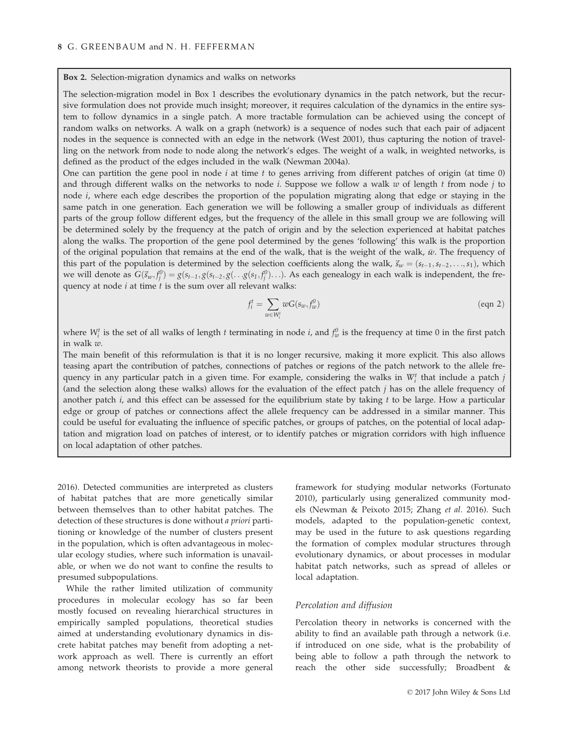Box 2. Selection-migration dynamics and walks on networks

The selection-migration model in Box 1 describes the evolutionary dynamics in the patch network, but the recursive formulation does not provide much insight; moreover, it requires calculation of the dynamics in the entire system to follow dynamics in a single patch. A more tractable formulation can be achieved using the concept of random walks on networks. A walk on a graph (network) is a sequence of nodes such that each pair of adjacent nodes in the sequence is connected with an edge in the network (West 2001), thus capturing the notion of travelling on the network from node to node along the network's edges. The weight of a walk, in weighted networks, is defined as the product of the edges included in the walk (Newman 2004a).

One can partition the gene pool in node  $i$  at time  $t$  to genes arriving from different patches of origin (at time 0) and through different walks on the networks to node i. Suppose we follow a walk  $w$  of length  $t$  from node  $j$  to node i, where each edge describes the proportion of the population migrating along that edge or staying in the same patch in one generation. Each generation we will be following a smaller group of individuals as different parts of the group follow different edges, but the frequency of the allele in this small group we are following will be determined solely by the frequency at the patch of origin and by the selection experienced at habitat patches along the walks. The proportion of the gene pool determined by the genes 'following' this walk is the proportion of the original population that remains at the end of the walk, that is the weight of the walk,  $\bar{w}$ . The frequency of this part of the population is determined by the selection coefficients along the walk,  $\vec{s}_w = (s_{t-1}, s_{t-2}, \ldots, s_1)$ , which we will denote as  $G(\vec{s}_w, f_j^0) = g(s_{t-1}, g(s_{t-2}, g(\ldots g(s_1, f_j^0))\ldots)$ . As each genealogy in each walk is independent, the frequency at node  $i$  at time  $t$  is the sum over all relevant walks:

$$
f_i^t = \sum_{w \in W_i^t} wG(s_w, f_w^0) \tag{eqn 2}
$$

where  $W_i^t$  is the set of all walks of length t terminating in node i, and  $f_w^0$  is the frequency at time 0 in the first patch<br>in walk  $w$ in walk w.

The main benefit of this reformulation is that it is no longer recursive, making it more explicit. This also allows teasing apart the contribution of patches, connections of patches or regions of the patch network to the allele frequency in any particular patch in a given time. For example, considering the walks in  $W_i^t$  that include a patch j (and the selection along these walks) allows for the evaluation of the effect patch  $j$  has on the allele frequency of another patch  $i$ , and this effect can be assessed for the equilibrium state by taking  $t$  to be large. How a particular edge or group of patches or connections affect the allele frequency can be addressed in a similar manner. This could be useful for evaluating the influence of specific patches, or groups of patches, on the potential of local adaptation and migration load on patches of interest, or to identify patches or migration corridors with high influence on local adaptation of other patches.

2016). Detected communities are interpreted as clusters of habitat patches that are more genetically similar between themselves than to other habitat patches. The detection of these structures is done without a priori partitioning or knowledge of the number of clusters present in the population, which is often advantageous in molecular ecology studies, where such information is unavailable, or when we do not want to confine the results to presumed subpopulations.

While the rather limited utilization of community procedures in molecular ecology has so far been mostly focused on revealing hierarchical structures in empirically sampled populations, theoretical studies aimed at understanding evolutionary dynamics in discrete habitat patches may benefit from adopting a network approach as well. There is currently an effort among network theorists to provide a more general

framework for studying modular networks (Fortunato 2010), particularly using generalized community models (Newman & Peixoto 2015; Zhang et al. 2016). Such models, adapted to the population-genetic context, may be used in the future to ask questions regarding the formation of complex modular structures through evolutionary dynamics, or about processes in modular habitat patch networks, such as spread of alleles or local adaptation.

## Percolation and diffusion

Percolation theory in networks is concerned with the ability to find an available path through a network (i.e. if introduced on one side, what is the probability of being able to follow a path through the network to reach the other side successfully; Broadbent &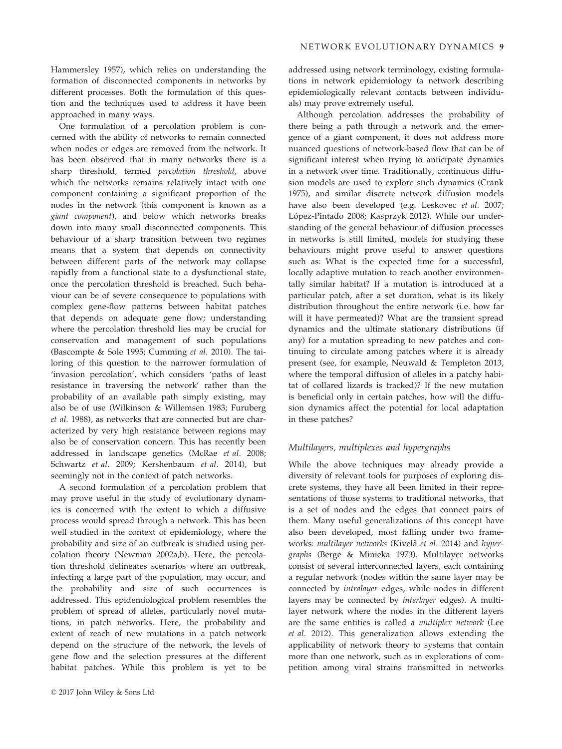Hammersley 1957), which relies on understanding the formation of disconnected components in networks by different processes. Both the formulation of this question and the techniques used to address it have been approached in many ways.

One formulation of a percolation problem is concerned with the ability of networks to remain connected when nodes or edges are removed from the network. It has been observed that in many networks there is a sharp threshold, termed percolation threshold, above which the networks remains relatively intact with one component containing a significant proportion of the nodes in the network (this component is known as a giant component), and below which networks breaks down into many small disconnected components. This behaviour of a sharp transition between two regimes means that a system that depends on connectivity between different parts of the network may collapse rapidly from a functional state to a dysfunctional state, once the percolation threshold is breached. Such behaviour can be of severe consequence to populations with complex gene-flow patterns between habitat patches that depends on adequate gene flow; understanding where the percolation threshold lies may be crucial for conservation and management of such populations (Bascompte & Sole 1995; Cumming et al. 2010). The tailoring of this question to the narrower formulation of 'invasion percolation', which considers 'paths of least resistance in traversing the network' rather than the probability of an available path simply existing, may also be of use (Wilkinson & Willemsen 1983; Furuberg et al. 1988), as networks that are connected but are characterized by very high resistance between regions may also be of conservation concern. This has recently been addressed in landscape genetics (McRae et al. 2008; Schwartz et al. 2009; Kershenbaum et al. 2014), but seemingly not in the context of patch networks.

A second formulation of a percolation problem that may prove useful in the study of evolutionary dynamics is concerned with the extent to which a diffusive process would spread through a network. This has been well studied in the context of epidemiology, where the probability and size of an outbreak is studied using percolation theory (Newman 2002a,b). Here, the percolation threshold delineates scenarios where an outbreak, infecting a large part of the population, may occur, and the probability and size of such occurrences is addressed. This epidemiological problem resembles the problem of spread of alleles, particularly novel mutations, in patch networks. Here, the probability and extent of reach of new mutations in a patch network depend on the structure of the network, the levels of gene flow and the selection pressures at the different habitat patches. While this problem is yet to be addressed using network terminology, existing formulations in network epidemiology (a network describing epidemiologically relevant contacts between individuals) may prove extremely useful.

Although percolation addresses the probability of there being a path through a network and the emergence of a giant component, it does not address more nuanced questions of network-based flow that can be of significant interest when trying to anticipate dynamics in a network over time. Traditionally, continuous diffusion models are used to explore such dynamics (Crank 1975), and similar discrete network diffusion models have also been developed (e.g. Leskovec et al. 2007; López-Pintado 2008; Kasprzyk 2012). While our understanding of the general behaviour of diffusion processes in networks is still limited, models for studying these behaviours might prove useful to answer questions such as: What is the expected time for a successful, locally adaptive mutation to reach another environmentally similar habitat? If a mutation is introduced at a particular patch, after a set duration, what is its likely distribution throughout the entire network (i.e. how far will it have permeated)? What are the transient spread dynamics and the ultimate stationary distributions (if any) for a mutation spreading to new patches and continuing to circulate among patches where it is already present (see, for example, Neuwald & Templeton 2013, where the temporal diffusion of alleles in a patchy habitat of collared lizards is tracked)? If the new mutation is beneficial only in certain patches, how will the diffusion dynamics affect the potential for local adaptation in these patches?

# Multilayers, multiplexes and hypergraphs

While the above techniques may already provide a diversity of relevant tools for purposes of exploring discrete systems, they have all been limited in their representations of those systems to traditional networks, that is a set of nodes and the edges that connect pairs of them. Many useful generalizations of this concept have also been developed, most falling under two frameworks: multilayer networks (Kivelä et al. 2014) and hypergraphs (Berge & Minieka 1973). Multilayer networks consist of several interconnected layers, each containing a regular network (nodes within the same layer may be connected by intralayer edges, while nodes in different layers may be connected by interlayer edges). A multilayer network where the nodes in the different layers are the same entities is called a multiplex network (Lee et al. 2012). This generalization allows extending the applicability of network theory to systems that contain more than one network, such as in explorations of competition among viral strains transmitted in networks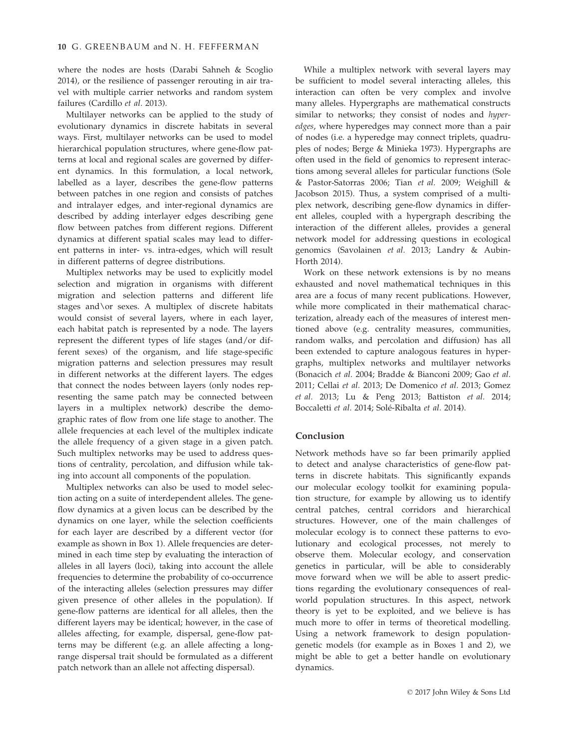where the nodes are hosts (Darabi Sahneh & Scoglio 2014), or the resilience of passenger rerouting in air travel with multiple carrier networks and random system failures (Cardillo et al. 2013).

Multilayer networks can be applied to the study of evolutionary dynamics in discrete habitats in several ways. First, multilayer networks can be used to model hierarchical population structures, where gene-flow patterns at local and regional scales are governed by different dynamics. In this formulation, a local network, labelled as a layer, describes the gene-flow patterns between patches in one region and consists of patches and intralayer edges, and inter-regional dynamics are described by adding interlayer edges describing gene flow between patches from different regions. Different dynamics at different spatial scales may lead to different patterns in inter- vs. intra-edges, which will result in different patterns of degree distributions.

Multiplex networks may be used to explicitly model selection and migration in organisms with different migration and selection patterns and different life stages and\or sexes. A multiplex of discrete habitats would consist of several layers, where in each layer, each habitat patch is represented by a node. The layers represent the different types of life stages (and/or different sexes) of the organism, and life stage-specific migration patterns and selection pressures may result in different networks at the different layers. The edges that connect the nodes between layers (only nodes representing the same patch may be connected between layers in a multiplex network) describe the demographic rates of flow from one life stage to another. The allele frequencies at each level of the multiplex indicate the allele frequency of a given stage in a given patch. Such multiplex networks may be used to address questions of centrality, percolation, and diffusion while taking into account all components of the population.

Multiplex networks can also be used to model selection acting on a suite of interdependent alleles. The geneflow dynamics at a given locus can be described by the dynamics on one layer, while the selection coefficients for each layer are described by a different vector (for example as shown in Box 1). Allele frequencies are determined in each time step by evaluating the interaction of alleles in all layers (loci), taking into account the allele frequencies to determine the probability of co-occurrence of the interacting alleles (selection pressures may differ given presence of other alleles in the population). If gene-flow patterns are identical for all alleles, then the different layers may be identical; however, in the case of alleles affecting, for example, dispersal, gene-flow patterns may be different (e.g. an allele affecting a longrange dispersal trait should be formulated as a different patch network than an allele not affecting dispersal).

While a multiplex network with several layers may be sufficient to model several interacting alleles, this interaction can often be very complex and involve many alleles. Hypergraphs are mathematical constructs similar to networks; they consist of nodes and hyperedges, where hyperedges may connect more than a pair of nodes (i.e. a hyperedge may connect triplets, quadruples of nodes; Berge & Minieka 1973). Hypergraphs are often used in the field of genomics to represent interactions among several alleles for particular functions (Sole & Pastor-Satorras 2006; Tian et al. 2009; Weighill & Jacobson 2015). Thus, a system comprised of a multiplex network, describing gene-flow dynamics in different alleles, coupled with a hypergraph describing the interaction of the different alleles, provides a general network model for addressing questions in ecological genomics (Savolainen et al. 2013; Landry & Aubin-Horth 2014).

Work on these network extensions is by no means exhausted and novel mathematical techniques in this area are a focus of many recent publications. However, while more complicated in their mathematical characterization, already each of the measures of interest mentioned above (e.g. centrality measures, communities, random walks, and percolation and diffusion) has all been extended to capture analogous features in hypergraphs, multiplex networks and multilayer networks (Bonacich et al. 2004; Bradde & Bianconi 2009; Gao et al. 2011; Cellai et al. 2013; De Domenico et al. 2013; Gomez et al. 2013; Lu & Peng 2013; Battiston et al. 2014; Boccaletti et al. 2014; Solé-Ribalta et al. 2014).

## Conclusion

Network methods have so far been primarily applied to detect and analyse characteristics of gene-flow patterns in discrete habitats. This significantly expands our molecular ecology toolkit for examining population structure, for example by allowing us to identify central patches, central corridors and hierarchical structures. However, one of the main challenges of molecular ecology is to connect these patterns to evolutionary and ecological processes, not merely to observe them. Molecular ecology, and conservation genetics in particular, will be able to considerably move forward when we will be able to assert predictions regarding the evolutionary consequences of realworld population structures. In this aspect, network theory is yet to be exploited, and we believe is has much more to offer in terms of theoretical modelling. Using a network framework to design populationgenetic models (for example as in Boxes 1 and 2), we might be able to get a better handle on evolutionary dynamics.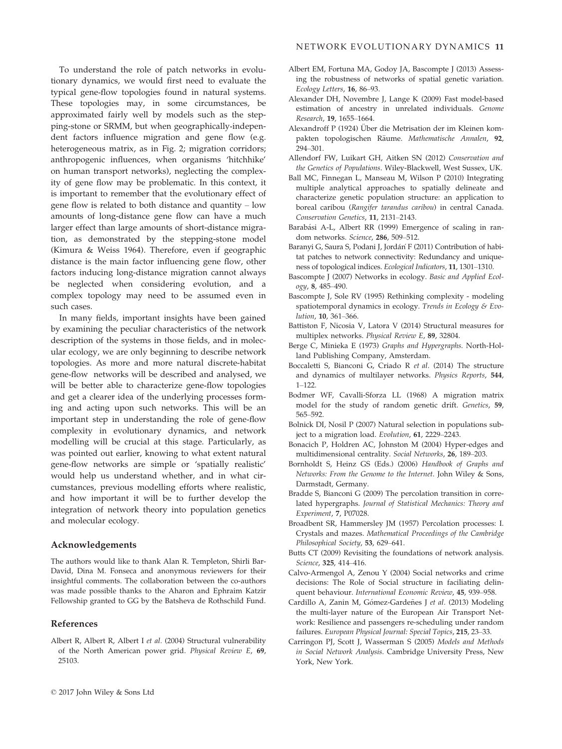To understand the role of patch networks in evolutionary dynamics, we would first need to evaluate the typical gene-flow topologies found in natural systems. These topologies may, in some circumstances, be approximated fairly well by models such as the stepping-stone or SRMM, but when geographically-independent factors influence migration and gene flow (e.g. heterogeneous matrix, as in Fig. 2; migration corridors; anthropogenic influences, when organisms 'hitchhike' on human transport networks), neglecting the complexity of gene flow may be problematic. In this context, it is important to remember that the evolutionary effect of gene flow is related to both distance and quantity – low amounts of long-distance gene flow can have a much larger effect than large amounts of short-distance migration, as demonstrated by the stepping-stone model (Kimura & Weiss 1964). Therefore, even if geographic distance is the main factor influencing gene flow, other factors inducing long-distance migration cannot always be neglected when considering evolution, and a complex topology may need to be assumed even in such cases.

In many fields, important insights have been gained by examining the peculiar characteristics of the network description of the systems in those fields, and in molecular ecology, we are only beginning to describe network topologies. As more and more natural discrete-habitat gene-flow networks will be described and analysed, we will be better able to characterize gene-flow topologies and get a clearer idea of the underlying processes forming and acting upon such networks. This will be an important step in understanding the role of gene-flow complexity in evolutionary dynamics, and network modelling will be crucial at this stage. Particularly, as was pointed out earlier, knowing to what extent natural gene-flow networks are simple or 'spatially realistic' would help us understand whether, and in what circumstances, previous modelling efforts where realistic, and how important it will be to further develop the integration of network theory into population genetics and molecular ecology.

#### Acknowledgements

The authors would like to thank Alan R. Templeton, Shirli Bar-David, Dina M. Fonseca and anonymous reviewers for their insightful comments. The collaboration between the co-authors was made possible thanks to the Aharon and Ephraim Katzir Fellowship granted to GG by the Batsheva de Rothschild Fund.

## References

Albert R, Albert R, Albert I et al. (2004) Structural vulnerability of the North American power grid. Physical Review E, 69, 25103.

- Albert EM, Fortuna MA, Godoy JA, Bascompte J (2013) Assessing the robustness of networks of spatial genetic variation. Ecology Letters, 16, 86–93.
- Alexander DH, Novembre J, Lange K (2009) Fast model-based estimation of ancestry in unrelated individuals. Genome Research, 19, 1655–1664.
- Alexandroff P (1924) Über die Metrisation der im Kleinen kompakten topologischen Räume. Mathematische Annalen, 92, 294–301.
- Allendorf FW, Luikart GH, Aitken SN (2012) Conservation and the Genetics of Populations. Wiley-Blackwell, West Sussex, UK.
- Ball MC, Finnegan L, Manseau M, Wilson P (2010) Integrating multiple analytical approaches to spatially delineate and characterize genetic population structure: an application to boreal caribou (Rangifer tarandus caribou) in central Canada. Conservation Genetics, 11, 2131–2143.
- Barabási A-L, Albert RR (1999) Emergence of scaling in random networks. Science, 286, 509–512.
- Baranyi G, Saura S, Podani J, Jordań F (2011) Contribution of habitat patches to network connectivity: Redundancy and uniqueness of topological indices. Ecological Indicators, 11, 1301–1310.
- Bascompte J (2007) Networks in ecology. Basic and Applied Ecology, 8, 485–490.
- Bascompte J, Sole RV (1995) Rethinking complexity modeling spatiotemporal dynamics in ecology. Trends in Ecology & Evolution, 10, 361–366.
- Battiston F, Nicosia V, Latora V (2014) Structural measures for multiplex networks. Physical Review E, 89, 32804.
- Berge C, Minieka E (1973) Graphs and Hypergraphs. North-Holland Publishing Company, Amsterdam.
- Boccaletti S, Bianconi G, Criado R et al. (2014) The structure and dynamics of multilayer networks. Physics Reports, 544, 1–122.
- Bodmer WF, Cavalli-Sforza LL (1968) A migration matrix model for the study of random genetic drift. Genetics, 59, 565–592.
- Bolnick DI, Nosil P (2007) Natural selection in populations subject to a migration load. Evolution, 61, 2229–2243.
- Bonacich P, Holdren AC, Johnston M (2004) Hyper-edges and multidimensional centrality. Social Networks, 26, 189–203.
- Bornholdt S, Heinz GS (Eds.) (2006) Handbook of Graphs and Networks: From the Genome to the Internet. John Wiley & Sons, Darmstadt, Germany.
- Bradde S, Bianconi G (2009) The percolation transition in correlated hypergraphs. Journal of Statistical Mechanics: Theory and Experiment, 7, P07028.
- Broadbent SR, Hammersley JM (1957) Percolation processes: I. Crystals and mazes. Mathematical Proceedings of the Cambridge Philosophical Society, 53, 629–641.
- Butts CT (2009) Revisiting the foundations of network analysis. Science, 325, 414–416.
- Calvo-Armengol A, Zenou Y (2004) Social networks and crime decisions: The Role of Social structure in faciliating delinquent behaviour. International Economic Review, 45, 939–958.
- Cardillo A, Zanin M, Gómez-Gardeñes J et al. (2013) Modeling the multi-layer nature of the European Air Transport Network: Resilience and passengers re-scheduling under random failures. European Physical Journal: Special Topics, 215, 23–33.
- Carringon PJ, Scott J, Wasserman S (2005) Models and Methods in Social Network Analysis. Cambridge University Press, New York, New York.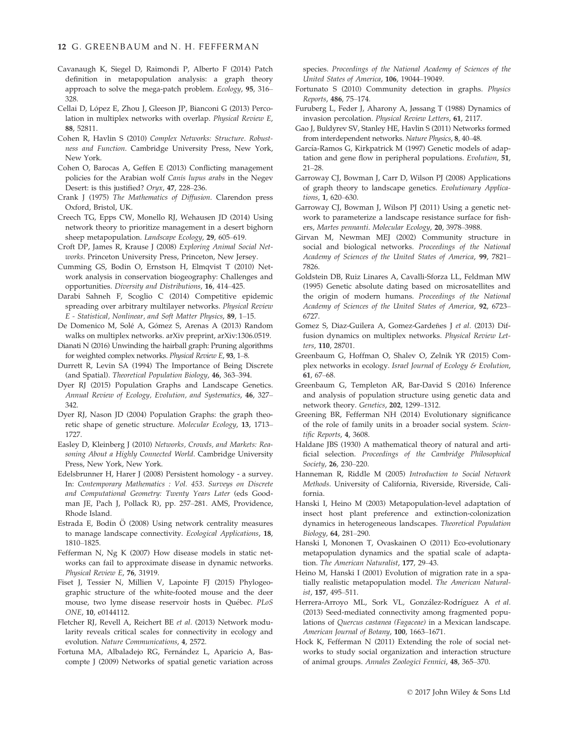- Cavanaugh K, Siegel D, Raimondi P, Alberto F (2014) Patch definition in metapopulation analysis: a graph theory approach to solve the mega-patch problem. Ecology, 95, 316– 328.
- Cellai D, López E, Zhou J, Gleeson JP, Bianconi G (2013) Percolation in multiplex networks with overlap. Physical Review E, 88, 52811.
- Cohen R, Havlin S (2010) Complex Networks: Structure. Robustness and Function. Cambridge University Press, New York, New York.
- Cohen O, Barocas A, Geffen E (2013) Conflicting management policies for the Arabian wolf Canis lupus arabs in the Negev Desert: is this justified? Oryx, 47, 228–236.
- Crank J (1975) The Mathematics of Diffusion. Clarendon press Oxford, Bristol, UK.
- Creech TG, Epps CW, Monello RJ, Wehausen JD (2014) Using network theory to prioritize management in a desert bighorn sheep metapopulation. Landscape Ecology, 29, 605–619.
- Croft DP, James R, Krause J (2008) Exploring Animal Social Networks. Princeton University Press, Princeton, New Jersey.
- Cumming GS, Bodin O, Ernstson H, Elmqvist T (2010) Network analysis in conservation biogeography: Challenges and opportunities. Diversity and Distributions, 16, 414–425.
- Darabi Sahneh F, Scoglio C (2014) Competitive epidemic spreading over arbitrary multilayer networks. Physical Review E - Statistical, Nonlinear, and Soft Matter Physics, 89, 1–15.
- De Domenico M, Sole A, Gomez S, Arenas A (2013) Random walks on multiplex networks. arXiv preprint, arXiv:1306.0519.
- Dianati N (2016) Unwinding the hairball graph: Pruning algorithms for weighted complex networks. Physical Review E, 93, 1–8.
- Durrett R, Levin SA (1994) The Importance of Being Discrete (and Spatial). Theoretical Population Biology, 46, 363–394.
- Dyer RJ (2015) Population Graphs and Landscape Genetics. Annual Review of Ecology, Evolution, and Systematics, 46, 327– 342.
- Dyer RJ, Nason JD (2004) Population Graphs: the graph theoretic shape of genetic structure. Molecular Ecology, 13, 1713– 1727.
- Easley D, Kleinberg J (2010) Networks, Crowds, and Markets: Reasoning About a Highly Connected World. Cambridge University Press, New York, New York.
- Edelsbrunner H, Harer J (2008) Persistent homology a survey. In: Contemporary Mathematics : Vol. 453. Surveys on Discrete and Computational Geometry: Twenty Years Later (eds Goodman JE, Pach J, Pollack R), pp. 257–281. AMS, Providence, Rhode Island.
- Estrada E, Bodin O (2008) Using network centrality measures to manage landscape connectivity. Ecological Applications, 18, 1810–1825.
- Fefferman N, Ng K (2007) How disease models in static networks can fail to approximate disease in dynamic networks. Physical Review E, 76, 31919.
- Fiset J, Tessier N, Millien V, Lapointe FJ (2015) Phylogeographic structure of the white-footed mouse and the deer mouse, two lyme disease reservoir hosts in Quebec. PLoS ONE, 10, e0144112.
- Fletcher RJ, Revell A, Reichert BE et al. (2013) Network modularity reveals critical scales for connectivity in ecology and evolution. Nature Communications, 4, 2572.
- Fortuna MA, Albaladejo RG, Fernández L, Aparicio A, Bascompte J (2009) Networks of spatial genetic variation across

species. Proceedings of the National Academy of Sciences of the United States of America, 106, 19044–19049.

- Fortunato S (2010) Community detection in graphs. Physics Reports, 486, 75–174.
- Furuberg L, Feder J, Aharony A, Jøssang T (1988) Dynamics of invasion percolation. Physical Review Letters, 61, 2117.
- Gao J, Buldyrev SV, Stanley HE, Havlin S (2011) Networks formed from interdependent networks. Nature Physics, 8, 40–48.
- García-Ramos G, Kirkpatrick M (1997) Genetic models of adaptation and gene flow in peripheral populations. Evolution, 51, 21–28.
- Garroway CJ, Bowman J, Carr D, Wilson PJ (2008) Applications of graph theory to landscape genetics. Evolutionary Applications, 1, 620–630.
- Garroway CJ, Bowman J, Wilson PJ (2011) Using a genetic network to parameterize a landscape resistance surface for fishers, Martes pennanti. Molecular Ecology, 20, 3978–3988.
- Girvan M, Newman MEJ (2002) Community structure in social and biological networks. Proceedings of the National Academy of Sciences of the United States of America, 99, 7821– 7826.
- Goldstein DB, Ruiz Linares A, Cavalli-Sforza LL, Feldman MW (1995) Genetic absolute dating based on microsatellites and the origin of modern humans. Proceedings of the National Academy of Sciences of the United States of America, 92, 6723– 6727.
- Gomez S, Diaz-Guilera A, Gomez-Gardeñes J et al. (2013) Diffusion dynamics on multiplex networks. Physical Review Letters, 110, 28701.
- Greenbaum G, Hoffman O, Shalev O, Zelnik YR (2015) Complex networks in ecology. Israel Journal of Ecology & Evolution, 61, 67–68.
- Greenbaum G, Templeton AR, Bar-David S (2016) Inference and analysis of population structure using genetic data and network theory. Genetics, 202, 1299–1312.
- Greening BR, Fefferman NH (2014) Evolutionary significance of the role of family units in a broader social system. Scientific Reports, 4, 3608.
- Haldane JBS (1930) A mathematical theory of natural and artificial selection. Proceedings of the Cambridge Philosophical Society, 26, 230–220.
- Hanneman R, Riddle M (2005) Introduction to Social Network Methods. University of California, Riverside, Riverside, California.
- Hanski I, Heino M (2003) Metapopulation-level adaptation of insect host plant preference and extinction-colonization dynamics in heterogeneous landscapes. Theoretical Population Biology, 64, 281–290.
- Hanski I, Mononen T, Ovaskainen O (2011) Eco-evolutionary metapopulation dynamics and the spatial scale of adaptation. The American Naturalist, 177, 29–43.
- Heino M, Hanski I (2001) Evolution of migration rate in a spatially realistic metapopulation model. The American Naturalist, 157, 495–511.
- Herrera-Arroyo ML, Sork VL, González-Rodríguez A et al. (2013) Seed-mediated connectivity among fragmented populations of Quercus castanea (Fagaceae) in a Mexican landscape. American Journal of Botany, 100, 1663-1671.
- Hock K, Fefferman N (2011) Extending the role of social networks to study social organization and interaction structure of animal groups. Annales Zoologici Fennici, 48, 365–370.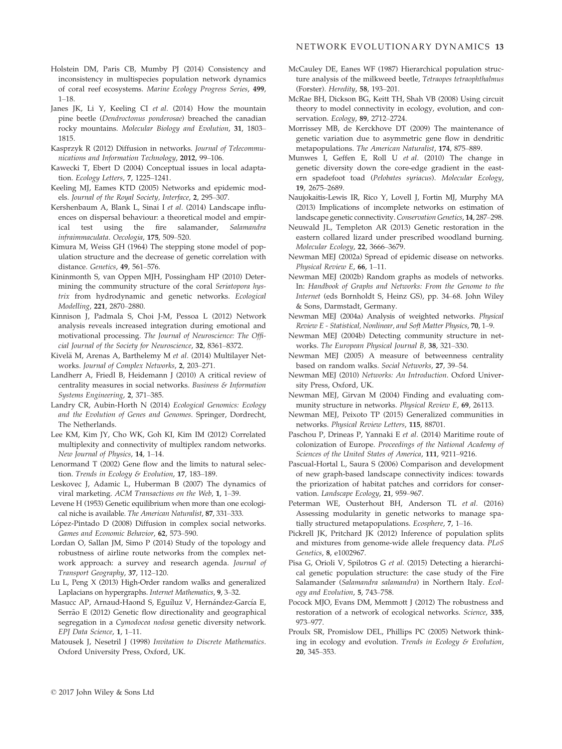- Holstein DM, Paris CB, Mumby PJ (2014) Consistency and inconsistency in multispecies population network dynamics of coral reef ecosystems. Marine Ecology Progress Series, 499, 1–18.
- Janes JK, Li Y, Keeling CI et al. (2014) How the mountain pine beetle (Dendroctonus ponderosae) breached the canadian rocky mountains. Molecular Biology and Evolution, 31, 1803– 1815.
- Kasprzyk R (2012) Diffusion in networks. Journal of Telecommunications and Information Technology, 2012, 99–106.
- Kawecki T, Ebert D (2004) Conceptual issues in local adaptation. Ecology Letters, 7, 1225–1241.
- Keeling MJ, Eames KTD (2005) Networks and epidemic models. Journal of the Royal Society, Interface, 2, 295–307.
- Kershenbaum A, Blank L, Sinai I et al. (2014) Landscape influences on dispersal behaviour: a theoretical model and empirical test using the fire salamander, Salamandra infraimmaculata. Oecologia, 175, 509–520.
- Kimura M, Weiss GH (1964) The stepping stone model of population structure and the decrease of genetic correlation with distance. Genetics, 49, 561–576.
- Kininmonth S, van Oppen MJH, Possingham HP (2010) Determining the community structure of the coral Seriatopora hystrix from hydrodynamic and genetic networks. Ecological Modelling, 221, 2870–2880.
- Kinnison J, Padmala S, Choi J-M, Pessoa L (2012) Network analysis reveals increased integration during emotional and motivational processing. The Journal of Neuroscience: The Official Journal of the Society for Neuroscience, 32, 8361–8372.
- Kivelä M, Arenas A, Barthelemy M et al. (2014) Multilayer Networks. Journal of Complex Networks, 2, 203–271.
- Landherr A, Friedl B, Heidemann J (2010) A critical review of centrality measures in social networks. Business & Information Systems Engineering, 2, 371–385.
- Landry CR, Aubin-Horth N (2014) Ecological Genomics: Ecology and the Evolution of Genes and Genomes. Springer, Dordrecht, The Netherlands.
- Lee KM, Kim JY, Cho WK, Goh KI, Kim IM (2012) Correlated multiplexity and connectivity of multiplex random networks. New Journal of Physics, 14, 1–14.
- Lenormand T (2002) Gene flow and the limits to natural selection. Trends in Ecology & Evolution, 17, 183-189.
- Leskovec J, Adamic L, Huberman B (2007) The dynamics of viral marketing. ACM Transactions on the Web, 1, 1–39.
- Levene H (1953) Genetic equilibrium when more than one ecological niche is available. The American Naturalist, 87, 331–333.
- López-Pintado D (2008) Diffusion in complex social networks. Games and Economic Behavior, 62, 573–590.
- Lordan O, Sallan JM, Simo P (2014) Study of the topology and robustness of airline route networks from the complex network approach: a survey and research agenda. Journal of Transport Geography, 37, 112–120.
- Lu L, Peng X (2013) High-Order random walks and generalized Laplacians on hypergraphs. Internet Mathematics, 9, 3–32.
- Masucc AP, Arnaud-Haond S, Eguíluz V, Hernández-García E, Serrão E (2012) Genetic flow directionality and geographical segregation in a Cymodocea nodosa genetic diversity network. EPJ Data Science, 1, 1–11.
- Matousek J, Nesetril J (1998) Invitation to Discrete Mathematics. Oxford University Press, Oxford, UK.
- McCauley DE, Eanes WF (1987) Hierarchical population structure analysis of the milkweed beetle, Tetraopes tetraophthalmus (Forster). Heredity, 58, 193–201.
- McRae BH, Dickson BG, Keitt TH, Shah VB (2008) Using circuit theory to model connectivity in ecology, evolution, and conservation. Ecology, 89, 2712–2724.
- Morrissey MB, de Kerckhove DT (2009) The maintenance of genetic variation due to asymmetric gene flow in dendritic metapopulations. The American Naturalist, 174, 875–889.
- Munwes I, Geffen E, Roll U et al. (2010) The change in genetic diversity down the core-edge gradient in the eastern spadefoot toad (Pelobates syriacus). Molecular Ecology, 19, 2675–2689.
- Naujokaitis-Lewis IR, Rico Y, Lovell J, Fortin MJ, Murphy MA (2013) Implications of incomplete networks on estimation of landscape genetic connectivity. Conservation Genetics, 14, 287–298.
- Neuwald JL, Templeton AR (2013) Genetic restoration in the eastern collared lizard under prescribed woodland burning. Molecular Ecology, 22, 3666–3679.
- Newman MEJ (2002a) Spread of epidemic disease on networks. Physical Review E, 66, 1–11.
- Newman MEJ (2002b) Random graphs as models of networks. In: Handbook of Graphs and Networks: From the Genome to the Internet (eds Bornholdt S, Heinz GS), pp. 34–68. John Wiley & Sons, Darmstadt, Germany.
- Newman MEJ (2004a) Analysis of weighted networks. Physical Review E - Statistical, Nonlinear, and Soft Matter Physics, 70, 1–9.
- Newman MEJ (2004b) Detecting community structure in networks. The European Physical Journal B, 38, 321–330.
- Newman MEJ (2005) A measure of betweenness centrality based on random walks. Social Networks, 27, 39–54.
- Newman MEJ (2010) Networks: An Introduction. Oxford University Press, Oxford, UK.
- Newman MEJ, Girvan M (2004) Finding and evaluating community structure in networks. Physical Review E, 69, 26113.
- Newman MEJ, Peixoto TP (2015) Generalized communities in networks. Physical Review Letters, 115, 88701.
- Paschou P, Drineas P, Yannaki E et al. (2014) Maritime route of colonization of Europe. Proceedings of the National Academy of Sciences of the United States of America, 111, 9211–9216.
- Pascual-Hortal L, Saura S (2006) Comparison and development of new graph-based landscape connectivity indices: towards the priorization of habitat patches and corridors for conservation. Landscape Ecology, 21, 959-967.
- Peterman WE, Ousterhout BH, Anderson TL et al. (2016) Assessing modularity in genetic networks to manage spatially structured metapopulations. Ecosphere, 7, 1–16.
- Pickrell JK, Pritchard JK (2012) Inference of population splits and mixtures from genome-wide allele frequency data. PLoS Genetics, 8, e1002967.
- Pisa G, Orioli V, Spilotros G et al. (2015) Detecting a hierarchical genetic population structure: the case study of the Fire Salamander (Salamandra salamandra) in Northern Italy. Ecology and Evolution, 5, 743–758.
- Pocock MJO, Evans DM, Memmott J (2012) The robustness and restoration of a network of ecological networks. Science, 335, 973–977.
- Proulx SR, Promislow DEL, Phillips PC (2005) Network thinking in ecology and evolution. Trends in Ecology & Evolution, 20, 345–353.